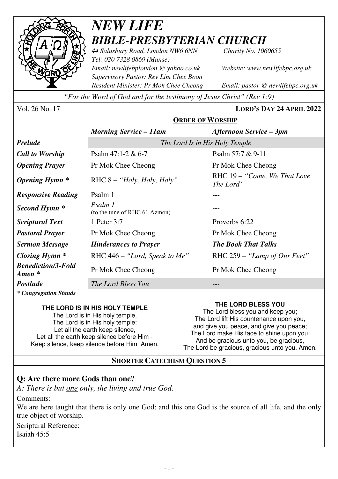

## *NEW LIFE BIBLE-PRESBYTERIAN CHURCH*

*44 Salusbury Road, London NW6 6NN Charity No. 1060655 Tel: 020 7328 0869 (Manse) Email: newlifebplondon @ yahoo.co.uk Website: www.newlifebpc.org.uk Supervisory Pastor: Rev Lim Chee Boon Resident Minister: Pr Mok Chee Cheong Email: pastor @ newlifebpc.org.uk* 

*"For the Word of God and for the testimony of Jesus Christ" (Rev 1:9)*

Vol. 26 No. 17 **LORD'S DAY 24 APRIL 2022**

#### **ORDER OF WORSHIP**

|                                     | <b>Morning Service - 11am</b>            | Afternoon Service – 3pm                    |  |
|-------------------------------------|------------------------------------------|--------------------------------------------|--|
| <b>Prelude</b>                      | The Lord Is in His Holy Temple           |                                            |  |
| <b>Call to Worship</b>              | Psalm $47:1-2 \& 6-7$                    | Psalm 57:7 & 9-11                          |  |
| <b>Opening Prayer</b>               | Pr Mok Chee Cheong                       | Pr Mok Chee Cheong                         |  |
| <b>Opening Hymn</b> *               | RHC $8 -$ "Holy, Holy, Holy"             | RHC 19 – "Come, We That Love"<br>The Lord" |  |
| <b>Responsive Reading</b>           | Psalm 1                                  |                                            |  |
| Second Hymn *                       | Psalm 1<br>(to the tune of RHC 61 Azmon) |                                            |  |
| <b>Scriptural Text</b>              | 1 Peter 3:7                              | Proverbs 6:22                              |  |
| <b>Pastoral Prayer</b>              | Pr Mok Chee Cheong                       | Pr Mok Chee Cheong                         |  |
| <b>Sermon Message</b>               | <b>Hinderances to Prayer</b>             | <b>The Book That Talks</b>                 |  |
| <i>Closing Hymn</i> $*$             | RHC $446 - "Lord, Speak to Me"$          | RHC $259 - "Lamp of Our Feet"$             |  |
| <b>Benediction/3-Fold</b><br>Amen * | Pr Mok Chee Cheong                       | Pr Mok Chee Cheong                         |  |
| <b>Postlude</b>                     | The Lord Bless You                       |                                            |  |
| * Congregation Stands               |                                          |                                            |  |

#### **THE LORD IS IN HIS HOLY TEMPLE**

The Lord is in His holy temple, The Lord is in His holy temple: Let all the earth keep silence, Let all the earth keep silence before Him - Keep silence, keep silence before Him. Amen.

#### **THE LORD BLESS YOU**

The Lord bless you and keep you; The Lord lift His countenance upon you, and give you peace, and give you peace; The Lord make His face to shine upon you, And be gracious unto you, be gracious, The Lord be gracious, gracious unto you. Amen.

#### **SHORTER CATECHISM QUESTION 5**

#### **Q: Are there more Gods than one?**

*A: There is but one only, the living and true God.* 

Comments:

We are here taught that there is only one God; and this one God is the source of all life, and the only true object of worship*.*

Scriptural Reference:

Isaiah 45:5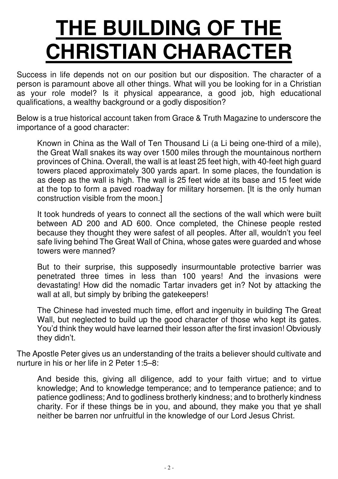# **THE BUILDING OF THE CHRISTIAN CHARACTER**

Success in life depends not on our position but our disposition. The character of a person is paramount above all other things. What will you be looking for in a Christian as your role model? Is it physical appearance, a good job, high educational qualifications, a wealthy background or a godly disposition?

Below is a true historical account taken from Grace & Truth Magazine to underscore the importance of a good character:

Known in China as the Wall of Ten Thousand Li (a Li being one-third of a mile), the Great Wall snakes its way over 1500 miles through the mountainous northern provinces of China. Overall, the wall is at least 25 feet high, with 40-feet high guard towers placed approximately 300 yards apart. In some places, the foundation is as deep as the wall is high. The wall is 25 feet wide at its base and 15 feet wide at the top to form a paved roadway for military horsemen. [It is the only human construction visible from the moon.]

It took hundreds of years to connect all the sections of the wall which were built between AD 200 and AD 600. Once completed, the Chinese people rested because they thought they were safest of all peoples. After all, wouldn't you feel safe living behind The Great Wall of China, whose gates were guarded and whose towers were manned?

But to their surprise, this supposedly insurmountable protective barrier was penetrated three times in less than 100 years! And the invasions were devastating! How did the nomadic Tartar invaders get in? Not by attacking the wall at all, but simply by bribing the gatekeepers!

The Chinese had invested much time, effort and ingenuity in building The Great Wall, but neglected to build up the good character of those who kept its gates. You'd think they would have learned their lesson after the first invasion! Obviously they didn't.

The Apostle Peter gives us an understanding of the traits a believer should cultivate and nurture in his or her life in 2 Peter 1:5–8:

And beside this, giving all diligence, add to your faith virtue; and to virtue knowledge; And to knowledge temperance; and to temperance patience; and to patience godliness; And to godliness brotherly kindness; and to brotherly kindness charity. For if these things be in you, and abound, they make you that ye shall neither be barren nor unfruitful in the knowledge of our Lord Jesus Christ.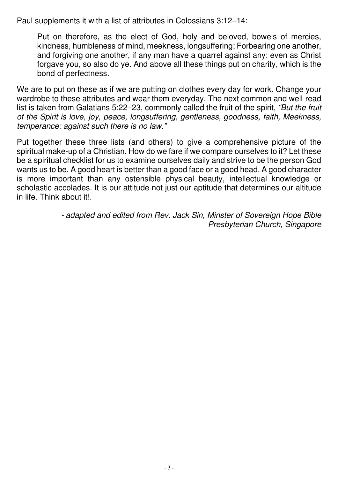Paul supplements it with a list of attributes in Colossians 3:12–14:

Put on therefore, as the elect of God, holy and beloved, bowels of mercies, kindness, humbleness of mind, meekness, longsuffering; Forbearing one another, and forgiving one another, if any man have a quarrel against any: even as Christ forgave you, so also do ye. And above all these things put on charity, which is the bond of perfectness.

We are to put on these as if we are putting on clothes every day for work. Change your wardrobe to these attributes and wear them everyday. The next common and well-read list is taken from Galatians 5:22–23, commonly called the fruit of the spirit, *"But the fruit of the Spirit is love, joy, peace, longsuffering, gentleness, goodness, faith, Meekness, temperance: against such there is no law."*

Put together these three lists (and others) to give a comprehensive picture of the spiritual make-up of a Christian. How do we fare if we compare ourselves to it? Let these be a spiritual checklist for us to examine ourselves daily and strive to be the person God wants us to be. A good heart is better than a good face or a good head. A good character is more important than any ostensible physical beauty, intellectual knowledge or scholastic accolades. It is our attitude not just our aptitude that determines our altitude in life. Think about it!.

> *- adapted and edited from Rev. Jack Sin, Minster of Sovereign Hope Bible Presbyterian Church, Singapore*